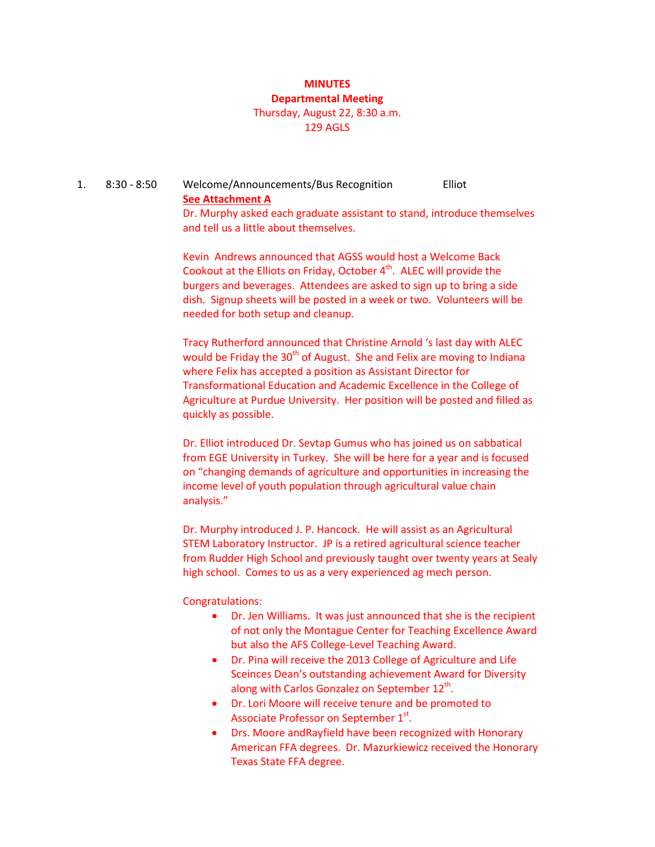#### **MINUTES Departmental Meeting**

## Thursday, August 22, 8:30 a.m. 129 AGLS

### 1. 8:30 - 8:50 Welcome/Announcements/Bus Recognition Elliot **See Attachment A** Dr. Murphy asked each graduate assistant to stand, introduce themselves and tell us a little about themselves.

Kevin Andrews announced that AGSS would host a Welcome Back Cookout at the Elliots on Friday, October  $4<sup>th</sup>$ . ALEC will provide the burgers and beverages. Attendees are asked to sign up to bring a side dish. Signup sheets will be posted in a week or two. Volunteers will be needed for both setup and cleanup.

Tracy Rutherford announced that Christine Arnold 's last day with ALEC would be Friday the 30<sup>th</sup> of August. She and Felix are moving to Indiana where Felix has accepted a position as Assistant Director for Transformational Education and Academic Excellence in the College of Agriculture at Purdue University. Her position will be posted and filled as quickly as possible.

Dr. Elliot introduced Dr. Sevtap Gumus who has joined us on sabbatical from EGE University in Turkey. She will be here for a year and is focused on "changing demands of agriculture and opportunities in increasing the income level of youth population through agricultural value chain analysis."

Dr. Murphy introduced J. P. Hancock. He will assist as an Agricultural STEM Laboratory Instructor. JP is a retired agricultural science teacher from Rudder High School and previously taught over twenty years at Sealy high school. Comes to us as a very experienced ag mech person.

#### Congratulations:

- Dr. Jen Williams. It was just announced that she is the recipient of not only the Montague Center for Teaching Excellence Award but also the AFS College-Level Teaching Award.
- Dr. Pina will receive the 2013 College of Agriculture and Life Sceinces Dean's outstanding achievement Award for Diversity along with Carlos Gonzalez on September 12<sup>th</sup>.
- Dr. Lori Moore will receive tenure and be promoted to Associate Professor on September  $1<sup>st</sup>$ .
- Drs. Moore andRayfield have been recognized with Honorary American FFA degrees. Dr. Mazurkiewicz received the Honorary Texas State FFA degree.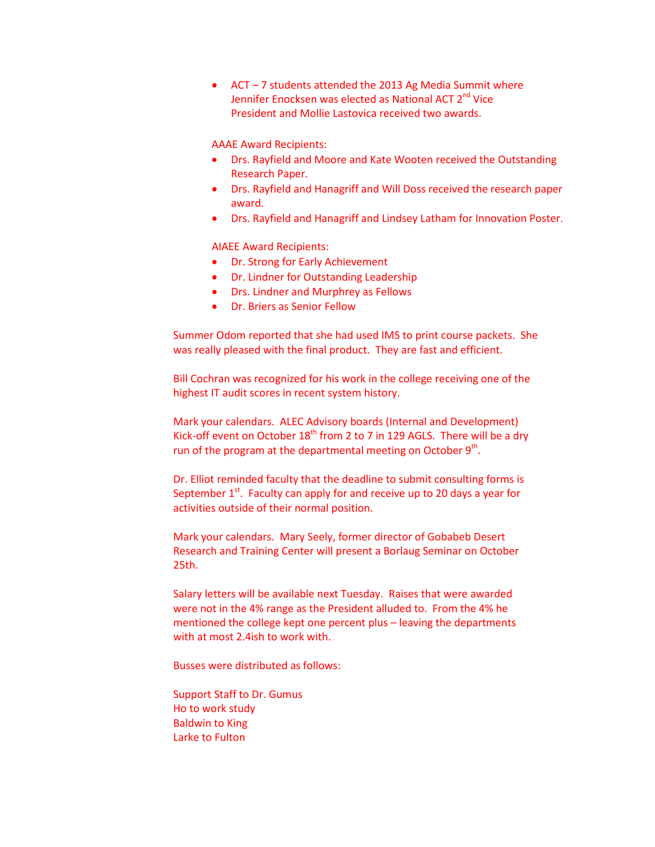• ACT – 7 students attended the 2013 Ag Media Summit where Jennifer Enocksen was elected as National ACT 2<sup>nd</sup> Vice President and Mollie Lastovica received two awards.

AAAE Award Recipients:

- Drs. Rayfield and Moore and Kate Wooten received the Outstanding Research Paper.
- Drs. Rayfield and Hanagriff and Will Doss received the research paper award.
- Drs. Rayfield and Hanagriff and Lindsey Latham for Innovation Poster.

AIAEE Award Recipients:

- Dr. Strong for Early Achievement
- Dr. Lindner for Outstanding Leadership
- Drs. Lindner and Murphrey as Fellows
- Dr. Briers as Senior Fellow

Summer Odom reported that she had used IMS to print course packets. She was really pleased with the final product. They are fast and efficient.

Bill Cochran was recognized for his work in the college receiving one of the highest IT audit scores in recent system history.

Mark your calendars. ALEC Advisory boards (Internal and Development) Kick-off event on October  $18<sup>th</sup>$  from 2 to 7 in 129 AGLS. There will be a dry run of the program at the departmental meeting on October  $9<sup>th</sup>$ .

Dr. Elliot reminded faculty that the deadline to submit consulting forms is September  $1<sup>st</sup>$ . Faculty can apply for and receive up to 20 days a year for activities outside of their normal position.

Mark your calendars. Mary Seely, former director of Gobabeb Desert Research and Training Center will present a Borlaug Seminar on October 25th.

Salary letters will be available next Tuesday. Raises that were awarded were not in the 4% range as the President alluded to. From the 4% he mentioned the college kept one percent plus – leaving the departments with at most 2.4ish to work with.

Busses were distributed as follows:

Support Staff to Dr. Gumus Ho to work study Baldwin to King Larke to Fulton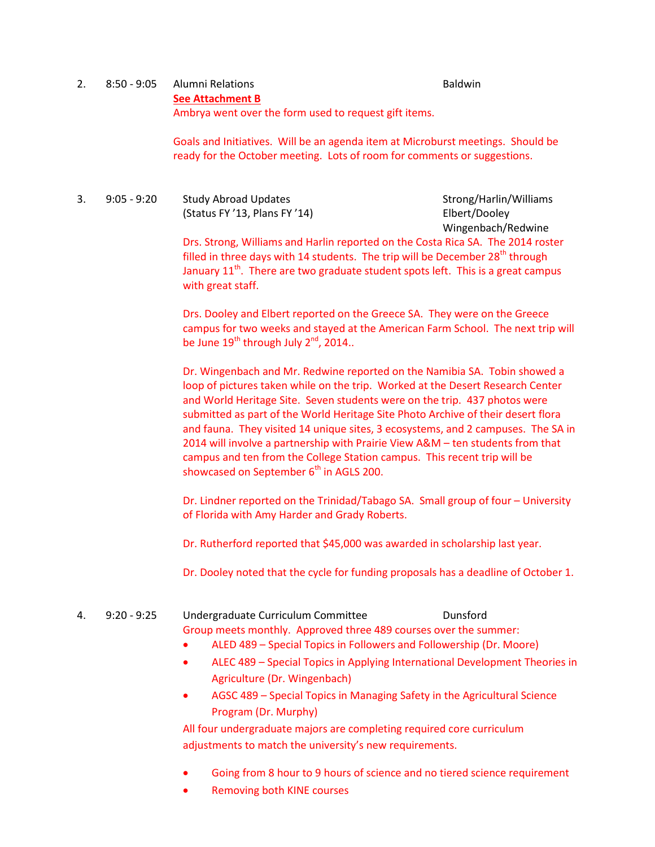## 2. 8:50 - 9:05 Alumni Relations Baldwin **See Attachment B** Ambrya went over the form used to request gift items.

Goals and Initiatives. Will be an agenda item at Microburst meetings. Should be ready for the October meeting. Lots of room for comments or suggestions.

3. 9:05 - 9:20 Study Abroad Updates Strong/Harlin/Williams (Status FY '13, Plans FY '14) Elbert/Dooley

Wingenbach/Redwine

Drs. Strong, Williams and Harlin reported on the Costa Rica SA. The 2014 roster filled in three days with 14 students. The trip will be December  $28<sup>th</sup>$  through January  $11<sup>th</sup>$ . There are two graduate student spots left. This is a great campus with great staff.

Drs. Dooley and Elbert reported on the Greece SA. They were on the Greece campus for two weeks and stayed at the American Farm School. The next trip will be June  $19^{th}$  through July  $2^{nd}$ , 2014..

Dr. Wingenbach and Mr. Redwine reported on the Namibia SA. Tobin showed a loop of pictures taken while on the trip. Worked at the Desert Research Center and World Heritage Site. Seven students were on the trip. 437 photos were submitted as part of the World Heritage Site Photo Archive of their desert flora and fauna. They visited 14 unique sites, 3 ecosystems, and 2 campuses. The SA in 2014 will involve a partnership with Prairie View A&M – ten students from that campus and ten from the College Station campus. This recent trip will be showcased on September  $6<sup>th</sup>$  in AGLS 200.

Dr. Lindner reported on the Trinidad/Tabago SA. Small group of four – University of Florida with Amy Harder and Grady Roberts.

Dr. Rutherford reported that \$45,000 was awarded in scholarship last year.

Dr. Dooley noted that the cycle for funding proposals has a deadline of October 1.

- 4. 9:20 9:25 Undergraduate Curriculum Committee Dunsford Group meets monthly. Approved three 489 courses over the summer:
	- ALED 489 Special Topics in Followers and Followership (Dr. Moore)
	- ALEC 489 Special Topics in Applying International Development Theories in Agriculture (Dr. Wingenbach)
	- AGSC 489 Special Topics in Managing Safety in the Agricultural Science Program (Dr. Murphy)

All four undergraduate majors are completing required core curriculum adjustments to match the university's new requirements.

- Going from 8 hour to 9 hours of science and no tiered science requirement
- Removing both KINE courses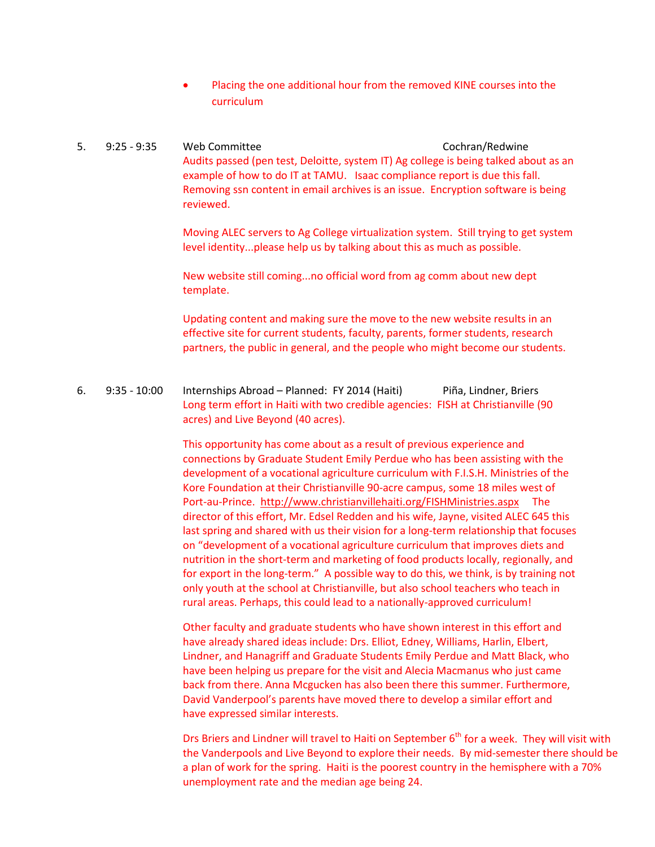• Placing the one additional hour from the removed KINE courses into the curriculum

5. 9:25 - 9:35 Web Committee Cochran/Redwine Audits passed (pen test, Deloitte, system IT) Ag college is being talked about as an example of how to do IT at TAMU. Isaac compliance report is due this fall. Removing ssn content in email archives is an issue. Encryption software is being reviewed.

> Moving ALEC servers to Ag College virtualization system. Still trying to get system level identity...please help us by talking about this as much as possible.

New website still coming...no official word from ag comm about new dept template.

Updating content and making sure the move to the new website results in an effective site for current students, faculty, parents, former students, research partners, the public in general, and the people who might become our students.

6. 9:35 - 10:00 Internships Abroad – Planned: FY 2014 (Haiti) Piña, Lindner, Briers Long term effort in Haiti with two credible agencies: FISH at Christianville (90 acres) and Live Beyond (40 acres).

> This opportunity has come about as a result of previous experience and connections by Graduate Student Emily Perdue who has been assisting with the development of a vocational agriculture curriculum with F.I.S.H. Ministries of the Kore Foundation at their Christianville 90-acre campus, some 18 miles west of Port-au-Prince.<http://www.christianvillehaiti.org/FISHMinistries.aspx>The director of this effort, Mr. Edsel Redden and his wife, Jayne, visited ALEC 645 this last spring and shared with us their vision for a long-term relationship that focuses on "development of a vocational agriculture curriculum that improves diets and nutrition in the short-term and marketing of food products locally, regionally, and for export in the long-term." A possible way to do this, we think, is by training not only youth at the school at Christianville, but also school teachers who teach in rural areas. Perhaps, this could lead to a nationally-approved curriculum!

Other faculty and graduate students who have shown interest in this effort and have already shared ideas include: Drs. Elliot, Edney, Williams, Harlin, Elbert, Lindner, and Hanagriff and Graduate Students Emily Perdue and Matt Black, who have been helping us prepare for the visit and Alecia Macmanus who just came back from there. Anna Mcgucken has also been there this summer. Furthermore, David Vanderpool's parents have moved there to develop a similar effort and have expressed similar interests.

Drs Briers and Lindner will travel to Haiti on September  $6<sup>th</sup>$  for a week. They will visit with the Vanderpools and Live Beyond to explore their needs. By mid-semester there should be a plan of work for the spring. Haiti is the poorest country in the hemisphere with a 70% unemployment rate and the median age being 24.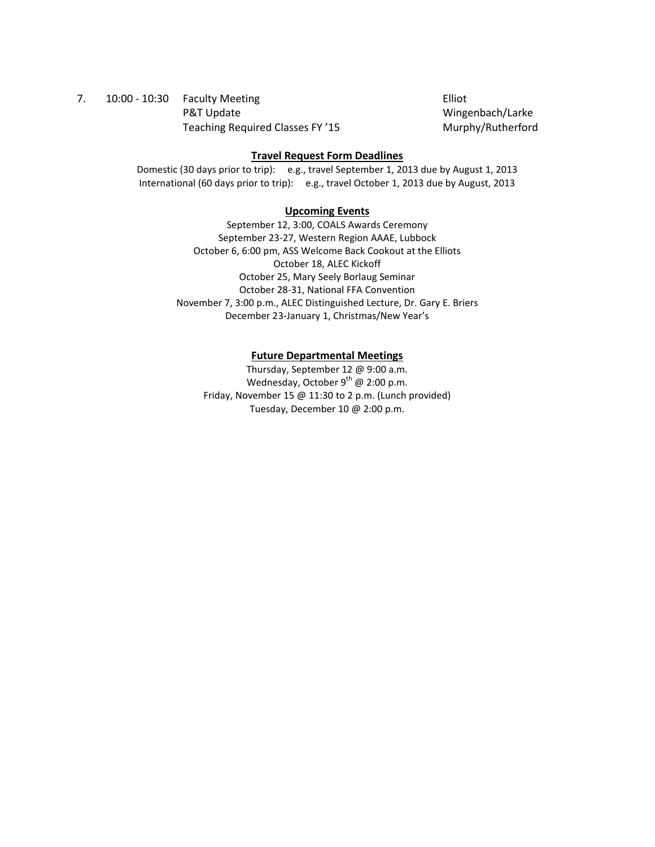## 7. 10:00 - 10:30 Faculty Meeting Elliot P&T Update Wingenbach/Larke Teaching Required Classes FY '15 Murphy/Rutherford

#### **Travel Request Form Deadlines**

Domestic (30 days prior to trip): e.g., travel September 1, 2013 due by August 1, 2013 International (60 days prior to trip): e.g., travel October 1, 2013 due by August, 2013

#### **Upcoming Events**

September 12, 3:00, COALS Awards Ceremony September 23-27, Western Region AAAE, Lubbock October 6, 6:00 pm, ASS Welcome Back Cookout at the Elliots October 18, ALEC Kickoff October 25, Mary Seely Borlaug Seminar October 28-31, National FFA Convention November 7, 3:00 p.m., ALEC Distinguished Lecture, Dr. Gary E. Briers December 23-January 1, Christmas/New Year's

#### **Future Departmental Meetings**

Thursday, September 12 @ 9:00 a.m. Wednesday, October  $9^{th}$  @ 2:00 p.m. Friday, November 15 @ 11:30 to 2 p.m. (Lunch provided) Tuesday, December 10 @ 2:00 p.m.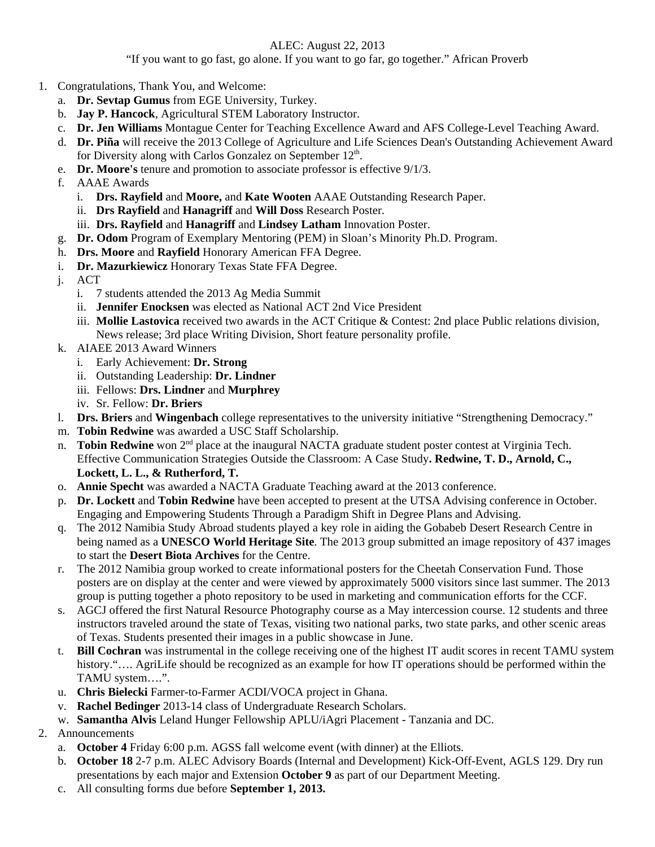## ALEC: August 22, 2013

"If you want to go fast, go alone. If you want to go far, go together." African Proverb

- 1. Congratulations, Thank You, and Welcome:
	- a. **Dr. Sevtap Gumus** from EGE University, Turkey.
	- b. **Jay P. Hancock**, Agricultural STEM Laboratory Instructor.
	- c. **Dr. Jen Williams** Montague Center for Teaching Excellence Award and AFS College-Level Teaching Award.
	- d. **Dr. Piña** will receive the 2013 College of Agriculture and Life Sciences Dean's Outstanding Achievement Award for Diversity along with Carlos Gonzalez on September  $12<sup>th</sup>$ .
	- e. **Dr. Moore's** tenure and promotion to associate professor is effective 9/1/3.
	- f. AAAE Awards
		- i. **Drs. Rayfield** and **Moore,** and **Kate Wooten** AAAE Outstanding Research Paper.
		- ii. **Drs Rayfield** and **Hanagriff** and **Will Doss** Research Poster.
		- iii. **Drs. Rayfield** and **Hanagriff** and **Lindsey Latham** Innovation Poster.
	- g. **Dr. Odom** Program of Exemplary Mentoring (PEM) in Sloan's Minority Ph.D. Program.
	- h. **Drs. Moore** and **Rayfield** Honorary American FFA Degree.
	- i. **Dr. Mazurkiewicz** Honorary Texas State FFA Degree.
	- j. ACT
		- i. 7 students attended the 2013 Ag Media Summit
		- ii. **Jennifer Enocksen** was elected as National ACT 2nd Vice President
		- iii. **Mollie Lastovica** received two awards in the ACT Critique & Contest: 2nd place Public relations division, News release; 3rd place Writing Division, Short feature personality profile.
	- k. AIAEE 2013 Award Winners
		- i. Early Achievement: **Dr. Strong**
		- ii. Outstanding Leadership: **Dr. Lindner**
		- iii. Fellows: **Drs. Lindner** and **Murphrey**
		- iv. Sr. Fellow: **Dr. Briers**
	- l. **Drs. Briers** and **Wingenbach** college representatives to the university initiative "Strengthening Democracy."
	- m. **Tobin Redwine** was awarded a USC Staff Scholarship.
	- n. **Tobin Redwine** won 2<sup>nd</sup> place at the inaugural NACTA graduate student poster contest at Virginia Tech. Effective Communication Strategies Outside the Classroom: A Case Study**. Redwine, T. D., Arnold, C., Lockett, L. L., & Rutherford, T.**
	- o. **Annie Specht** was awarded a NACTA Graduate Teaching award at the 2013 conference.
	- p. **Dr. Lockett** and **Tobin Redwine** have been accepted to present at the UTSA Advising conference in October. Engaging and Empowering Students Through a Paradigm Shift in Degree Plans and Advising.
	- q. The 2012 Namibia Study Abroad students played a key role in aiding the Gobabeb Desert Research Centre in being named as a **UNESCO World Heritage Site**. The 2013 group submitted an image repository of 437 images to start the **Desert Biota Archives** for the Centre.
	- r. The 2012 Namibia group worked to create informational posters for the Cheetah Conservation Fund. Those posters are on display at the center and were viewed by approximately 5000 visitors since last summer. The 2013 group is putting together a photo repository to be used in marketing and communication efforts for the CCF.
	- s. AGCJ offered the first Natural Resource Photography course as a May intercession course. 12 students and three instructors traveled around the state of Texas, visiting two national parks, two state parks, and other scenic areas of Texas. Students presented their images in a public showcase in June.
	- t. **Bill Cochran** was instrumental in the college receiving one of the highest IT audit scores in recent TAMU system history.".... AgriLife should be recognized as an example for how IT operations should be performed within the TAMU system….".
	- u. **Chris Bielecki** Farmer-to-Farmer ACDI/VOCA project in Ghana.
	- v. **Rachel Bedinger** 2013-14 class of Undergraduate Research Scholars.
	- w. **Samantha Alvis** Leland Hunger Fellowship APLU/iAgri Placement Tanzania and DC.
- 2. Announcements
	- a. **October 4** Friday 6:00 p.m. AGSS fall welcome event (with dinner) at the Elliots.
	- b. **October 18** 2-7 p.m. ALEC Advisory Boards (Internal and Development) Kick-Off-Event, AGLS 129. Dry run presentations by each major and Extension **October 9** as part of our Department Meeting.
	- c. All consulting forms due before **September 1, 2013.**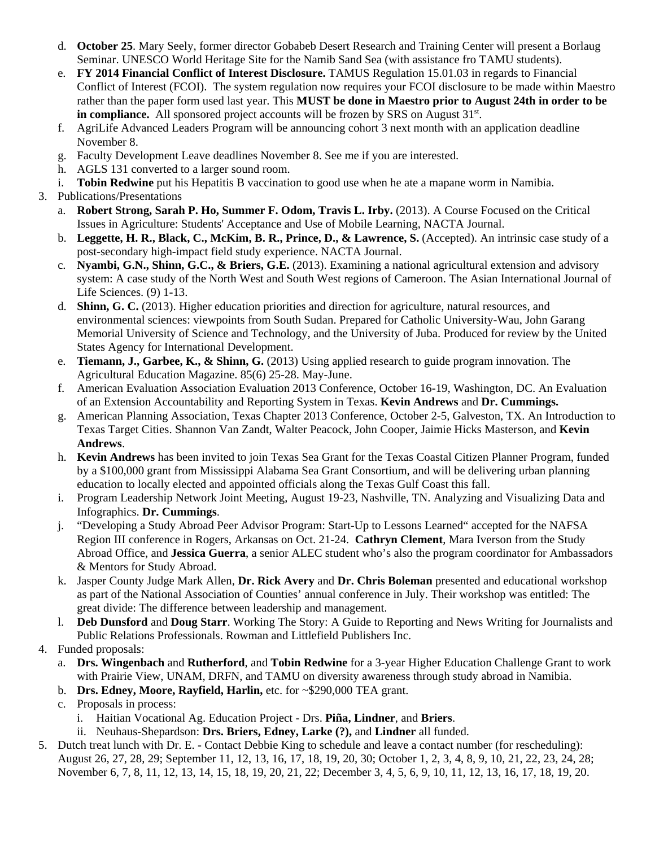- d. **October 25**. Mary Seely, former director Gobabeb Desert Research and Training Center will present a Borlaug Seminar. UNESCO World Heritage Site for the Namib Sand Sea (with assistance fro TAMU students).
- e. **FY 2014 Financial Conflict of Interest Disclosure.** TAMUS Regulation 15.01.03 in regards to Financial Conflict of Interest (FCOI). The system regulation now requires your FCOI disclosure to be made within Maestro rather than the paper form used last year. This **MUST be done in Maestro prior to August 24th in order to be in compliance.** All sponsored project accounts will be frozen by SRS on August 31<sup>st</sup>.
- f. AgriLife Advanced Leaders Program will be announcing cohort 3 next month with an application deadline November 8.
- g. Faculty Development Leave deadlines November 8. See me if you are interested.
- h. AGLS 131 converted to a larger sound room.
- i. **Tobin Redwine** put his Hepatitis B vaccination to good use when he ate a mapane worm in Namibia.
- 3. Publications/Presentations
	- a. **Robert Strong, Sarah P. Ho, Summer F. Odom, Travis L. Irby.** (2013). A Course Focused on the Critical Issues in Agriculture: Students' Acceptance and Use of Mobile Learning, NACTA Journal.
	- b. **Leggette, H. R., Black, C., McKim, B. R., Prince, D., & Lawrence, S.** (Accepted). An intrinsic case study of a post-secondary high-impact field study experience. NACTA Journal.
	- c. **Nyambi, G.N., Shinn, G.C., & Briers, G.E.** (2013). Examining a national agricultural extension and advisory system: A case study of the North West and South West regions of Cameroon. The Asian International Journal of Life Sciences. (9) 1-13.
	- d. **Shinn, G. C.** (2013). Higher education priorities and direction for agriculture, natural resources, and environmental sciences: viewpoints from South Sudan. Prepared for Catholic University-Wau, John Garang Memorial University of Science and Technology, and the University of Juba. Produced for review by the United States Agency for International Development.
	- e. **Tiemann, J., Garbee, K., & Shinn, G.** (2013) Using applied research to guide program innovation. The Agricultural Education Magazine. 85(6) 25-28. May-June.
	- f. American Evaluation Association Evaluation 2013 Conference, October 16-19, Washington, DC. An Evaluation of an Extension Accountability and Reporting System in Texas. **Kevin Andrews** and **Dr. Cummings.**
	- g. American Planning Association, Texas Chapter 2013 Conference, October 2-5, Galveston, TX. An Introduction to Texas Target Cities. Shannon Van Zandt, Walter Peacock, John Cooper, Jaimie Hicks Masterson, and **Kevin Andrews**.
	- h. **Kevin Andrews** has been invited to join Texas Sea Grant for the Texas Coastal Citizen Planner Program, funded by a \$100,000 grant from Mississippi Alabama Sea Grant Consortium, and will be delivering urban planning education to locally elected and appointed officials along the Texas Gulf Coast this fall.
	- i. Program Leadership Network Joint Meeting, August 19-23, Nashville, TN. Analyzing and Visualizing Data and Infographics. **Dr. Cummings**.
	- j. "Developing a Study Abroad Peer Advisor Program: Start-Up to Lessons Learned" accepted for the NAFSA Region III conference in Rogers, Arkansas on Oct. 21-24. **Cathryn Clement**, Mara Iverson from the Study Abroad Office, and **Jessica Guerra**, a senior ALEC student who's also the program coordinator for Ambassadors & Mentors for Study Abroad.
	- k. Jasper County Judge Mark Allen, **Dr. Rick Avery** and **Dr. Chris Boleman** presented and educational workshop as part of the National Association of Counties' annual conference in July. Their workshop was entitled: The great divide: The difference between leadership and management.
	- l. **Deb Dunsford** and **Doug Starr**. Working The Story: A Guide to Reporting and News Writing for Journalists and Public Relations Professionals. Rowman and Littlefield Publishers Inc.
- 4. Funded proposals:
	- a. **Drs. Wingenbach** and **Rutherford**, and **Tobin Redwine** for a 3-year Higher Education Challenge Grant to work with Prairie View, UNAM, DRFN, and TAMU on diversity awareness through study abroad in Namibia.
	- b. **Drs. Edney, Moore, Rayfield, Harlin,** etc. for ~\$290,000 TEA grant.
	- c. Proposals in process:
		- i. Haitian Vocational Ag. Education Project Drs. **Piña, Lindner**, and **Briers**.
		- ii. Neuhaus-Shepardson: **Drs. Briers, Edney, Larke (?),** and **Lindner** all funded.
- 5. Dutch treat lunch with Dr. E. Contact Debbie King to schedule and leave a contact number (for rescheduling): August 26, 27, 28, 29; September 11, 12, 13, 16, 17, 18, 19, 20, 30; October 1, 2, 3, 4, 8, 9, 10, 21, 22, 23, 24, 28; November 6, 7, 8, 11, 12, 13, 14, 15, 18, 19, 20, 21, 22; December 3, 4, 5, 6, 9, 10, 11, 12, 13, 16, 17, 18, 19, 20.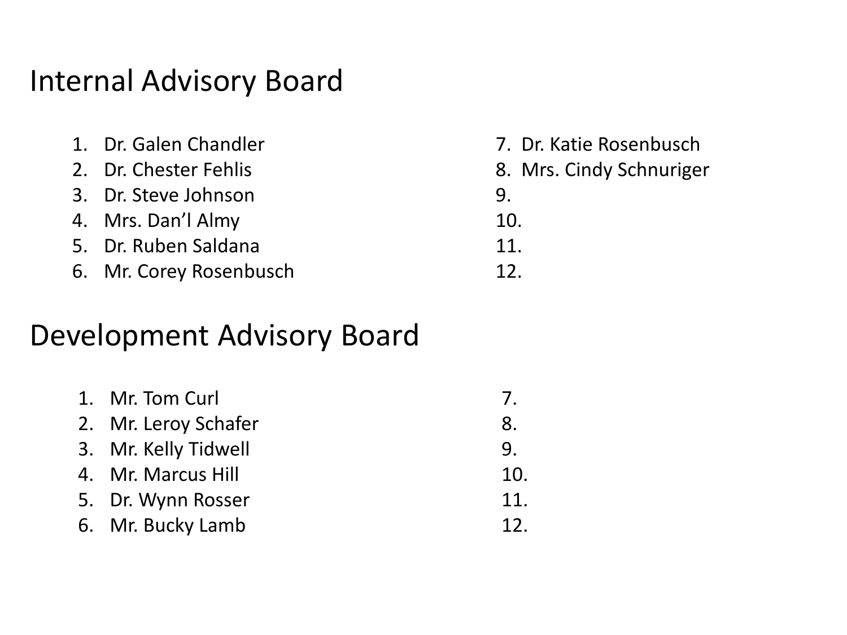## Internal Advisory Board

| 1. Dr. Galen Chandler   | 7. Dr. Katie Rosenbusch  |
|-------------------------|--------------------------|
| 2. Dr. Chester Fehlis   | 8. Mrs. Cindy Schnuriger |
| 3. Dr. Steve Johnson    | 9                        |
| 4. Mrs. Dan'l Almy      | 10.                      |
| 5. Dr. Ruben Saldana    | 11.                      |
| 6. Mr. Corey Rosenbusch | 12 <sup>°</sup>          |

## Development Advisory Board

| 1. Mr. Tom Curl      |                 |
|----------------------|-----------------|
| 2. Mr. Leroy Schafer | 8.              |
| 3. Mr. Kelly Tidwell | 9.              |
| 4. Mr. Marcus Hill   | 10.             |
| 5. Dr. Wynn Rosser   | 11.             |
| 6. Mr. Bucky Lamb    | 12 <sub>1</sub> |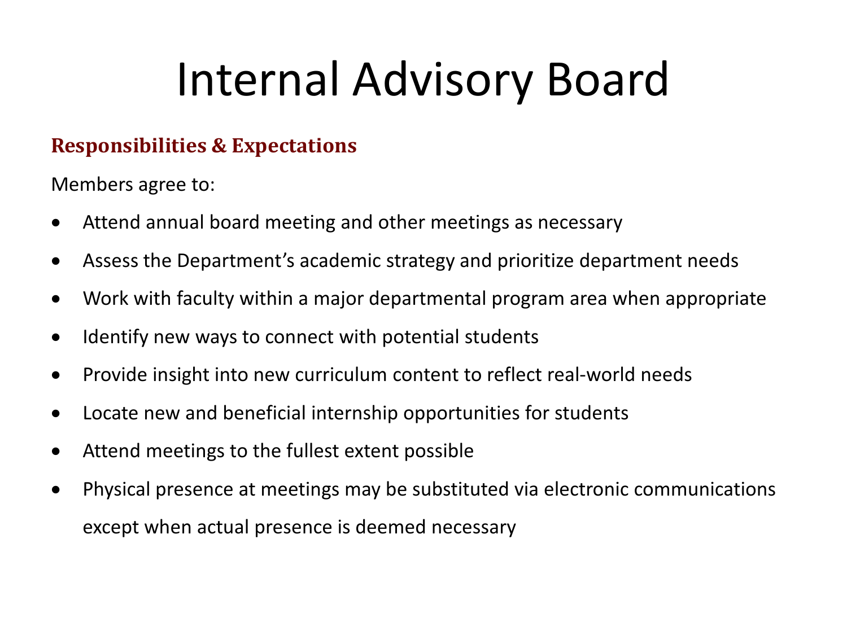## Internal Advisory Board

## **Responsibilities & Expectations**

Members agree to:

- Attend annual board meeting and other meetings as necessary
- Assess the Department's academic strategy and prioritize department needs
- Work with faculty within a major departmental program area when appropriate
- Identify new ways to connect with potential students
- Provide insight into new curriculum content to reflect real-world needs
- Locate new and beneficial internship opportunities for students
- Attend meetings to the fullest extent possible
- Physical presence at meetings may be substituted via electronic communications except when actual presence is deemed necessary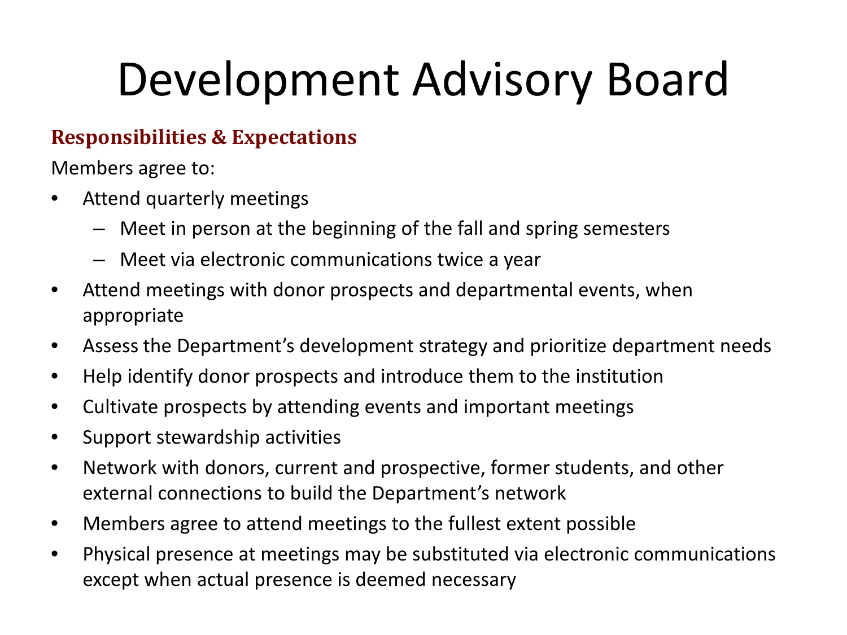## Development Advisory Board

## **Responsibilities & Expectations**

Members agree to:

- Attend quarterly meetings
	- Meet in person at the beginning of the fall and spring semesters
	- Meet via electronic communications twice a year
- Attend meetings with donor prospects and departmental events, when appropriate
- Assess the Department's development strategy and prioritize department needs
- Help identify donor prospects and introduce them to the institution
- Cultivate prospects by attending events and important meetings
- Support stewardship activities
- Network with donors, current and prospective, former students, and other external connections to build the Department's network
- Members agree to attend meetings to the fullest extent possible
- Physical presence at meetings may be substituted via electronic communications except when actual presence is deemed necessary